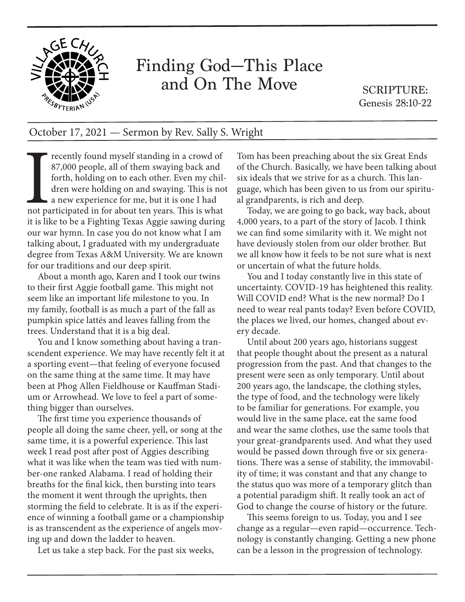

## Finding God—This Place and On The Move

SCRIPTURE: Genesis 28:10-22

## October 17, 2021 — Sermon by Rev. Sally S. Wright

Free the process of them swaying back and forth, holding on to each other. Even my children were holding on and swaying. This is no a new experience for me, but it is one I had not participated in for about ten years. This 87,000 people, all of them swaying back and forth, holding on to each other. Even my children were holding on and swaying. This is not a new experience for me, but it is one I had not participated in for about ten years. This is what it is like to be a Fighting Texas Aggie sawing during our war hymn. In case you do not know what I am talking about, I graduated with my undergraduate degree from Texas A&M University. We are known for our traditions and our deep spirit.

About a month ago, Karen and I took our twins to their first Aggie football game. This might not seem like an important life milestone to you. In my family, football is as much a part of the fall as pumpkin spice lattés and leaves falling from the trees. Understand that it is a big deal.

You and I know something about having a transcendent experience. We may have recently felt it at a sporting event—that feeling of everyone focused on the same thing at the same time. It may have been at Phog Allen Fieldhouse or Kauffman Stadium or Arrowhead. We love to feel a part of something bigger than ourselves.

The first time you experience thousands of people all doing the same cheer, yell, or song at the same time, it is a powerful experience. This last week I read post after post of Aggies describing what it was like when the team was tied with number-one ranked Alabama. I read of holding their breaths for the final kick, then bursting into tears the moment it went through the uprights, then storming the field to celebrate. It is as if the experience of winning a football game or a championship is as transcendent as the experience of angels moving up and down the ladder to heaven.

Let us take a step back. For the past six weeks,

Tom has been preaching about the six Great Ends of the Church. Basically, we have been talking about six ideals that we strive for as a church. This language, which has been given to us from our spiritual grandparents, is rich and deep.

Today, we are going to go back, way back, about 4,000 years, to a part of the story of Jacob. I think we can find some similarity with it. We might not have deviously stolen from our older brother. But we all know how it feels to be not sure what is next or uncertain of what the future holds.

You and I today constantly live in this state of uncertainty. COVID-19 has heightened this reality. Will COVID end? What is the new normal? Do I need to wear real pants today? Even before COVID, the places we lived, our homes, changed about every decade.

Until about 200 years ago, historians suggest that people thought about the present as a natural progression from the past. And that changes to the present were seen as only temporary. Until about 200 years ago, the landscape, the clothing styles, the type of food, and the technology were likely to be familiar for generations. For example, you would live in the same place, eat the same food and wear the same clothes, use the same tools that your great-grandparents used. And what they used would be passed down through five or six generations. There was a sense of stability, the immovability of time; it was constant and that any change to the status quo was more of a temporary glitch than a potential paradigm shift. It really took an act of God to change the course of history or the future.

This seems foreign to us. Today, you and I see change as a regular—even rapid—occurrence. Technology is constantly changing. Getting a new phone can be a lesson in the progression of technology.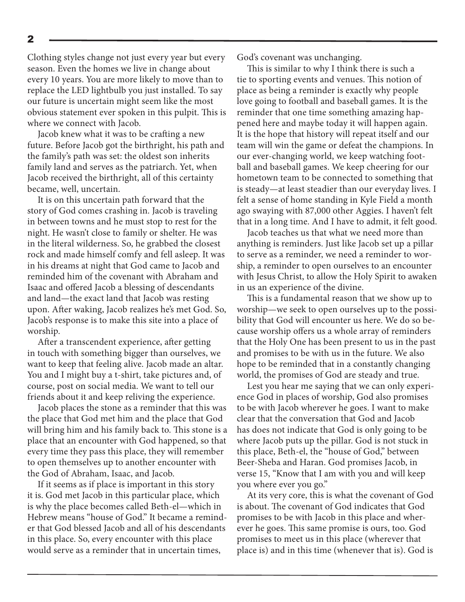Clothing styles change not just every year but every season. Even the homes we live in change about every 10 years. You are more likely to move than to replace the LED lightbulb you just installed. To say our future is uncertain might seem like the most obvious statement ever spoken in this pulpit. This is where we connect with Jacob.

Jacob knew what it was to be crafting a new future. Before Jacob got the birthright, his path and the family's path was set: the oldest son inherits family land and serves as the patriarch. Yet, when Jacob received the birthright, all of this certainty became, well, uncertain.

It is on this uncertain path forward that the story of God comes crashing in. Jacob is traveling in between towns and he must stop to rest for the night. He wasn't close to family or shelter. He was in the literal wilderness. So, he grabbed the closest rock and made himself comfy and fell asleep. It was in his dreams at night that God came to Jacob and reminded him of the covenant with Abraham and Isaac and offered Jacob a blessing of descendants and land—the exact land that Jacob was resting upon. After waking, Jacob realizes he's met God. So, Jacob's response is to make this site into a place of worship.

After a transcendent experience, after getting in touch with something bigger than ourselves, we want to keep that feeling alive. Jacob made an altar. You and I might buy a t-shirt, take pictures and, of course, post on social media. We want to tell our friends about it and keep reliving the experience.

Jacob places the stone as a reminder that this was the place that God met him and the place that God will bring him and his family back to. This stone is a place that an encounter with God happened, so that every time they pass this place, they will remember to open themselves up to another encounter with the God of Abraham, Isaac, and Jacob.

If it seems as if place is important in this story it is. God met Jacob in this particular place, which is why the place becomes called Beth-el—which in Hebrew means "house of God." It became a reminder that God blessed Jacob and all of his descendants in this place. So, every encounter with this place would serve as a reminder that in uncertain times,

God's covenant was unchanging.

This is similar to why I think there is such a tie to sporting events and venues. This notion of place as being a reminder is exactly why people love going to football and baseball games. It is the reminder that one time something amazing happened here and maybe today it will happen again. It is the hope that history will repeat itself and our team will win the game or defeat the champions. In our ever-changing world, we keep watching football and baseball games. We keep cheering for our hometown team to be connected to something that is steady—at least steadier than our everyday lives. I felt a sense of home standing in Kyle Field a month ago swaying with 87,000 other Aggies. I haven't felt that in a long time. And I have to admit, it felt good.

Jacob teaches us that what we need more than anything is reminders. Just like Jacob set up a pillar to serve as a reminder, we need a reminder to worship, a reminder to open ourselves to an encounter with Jesus Christ, to allow the Holy Spirit to awaken in us an experience of the divine.

This is a fundamental reason that we show up to worship—we seek to open ourselves up to the possibility that God will encounter us here. We do so because worship offers us a whole array of reminders that the Holy One has been present to us in the past and promises to be with us in the future. We also hope to be reminded that in a constantly changing world, the promises of God are steady and true.

Lest you hear me saying that we can only experience God in places of worship, God also promises to be with Jacob wherever he goes. I want to make clear that the conversation that God and Jacob has does not indicate that God is only going to be where Jacob puts up the pillar. God is not stuck in this place, Beth-el, the "house of God," between Beer-Sheba and Haran. God promises Jacob, in verse 15, "Know that I am with you and will keep you where ever you go."

At its very core, this is what the covenant of God is about. The covenant of God indicates that God promises to be with Jacob in this place and wherever he goes. This same promise is ours, too. God promises to meet us in this place (wherever that place is) and in this time (whenever that is). God is